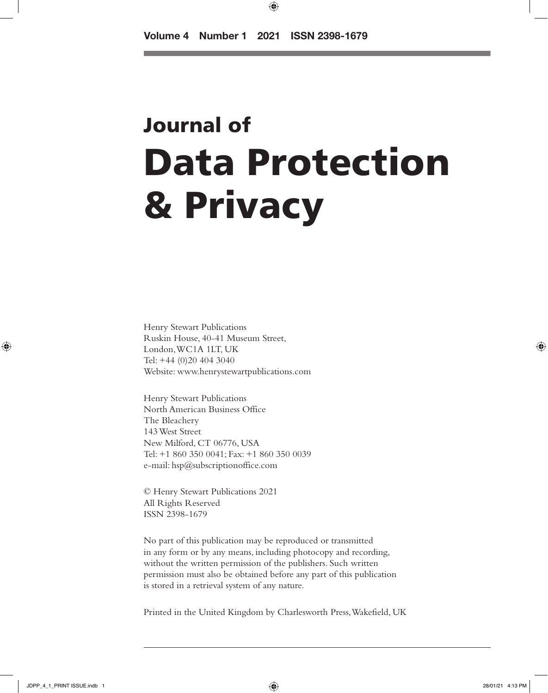⊕

# Journal of Data Protection & Privacy

Henry Stewart Publications Ruskin House, 40-41 Museum Street, London, WC1A 1LT, UK Tel: +44 (0)20 404 3040 Website: www.henrystewartpublications.com

Henry Stewart Publications North American Business Office The Bleachery 143 West Street New Milford, CT 06776, USA Tel: +1 860 350 0041; Fax: +1 860 350 0039 e-mail: hsp@subscriptionoffice.com

© Henry Stewart Publications 2021 All Rights Reserved ISSN 2398-1679

No part of this publication may be reproduced or transmitted in any form or by any means, including photocopy and recording, without the written permission of the publishers. Such written permission must also be obtained before any part of this publication is stored in a retrieval system of any nature.

Printed in the United Kingdom by Charlesworth Press, Wakefield, UK

⊕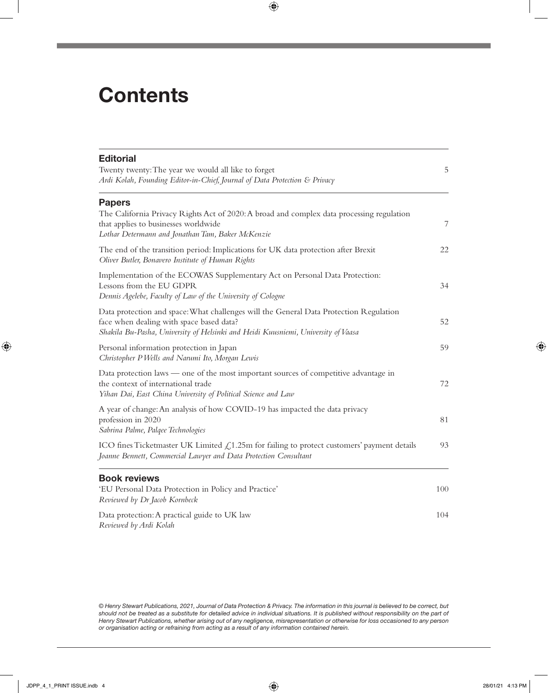### **Contents**

| <b>Editorial</b><br>Twenty twenty: The year we would all like to forget<br>Ardi Kolah, Founding Editor-in-Chief, Journal of Data Protection & Privacy                                                                   | 5   |
|-------------------------------------------------------------------------------------------------------------------------------------------------------------------------------------------------------------------------|-----|
| <b>Papers</b><br>The California Privacy Rights Act of 2020: A broad and complex data processing regulation<br>that applies to businesses worldwide                                                                      | 7   |
| Lothar Determann and Jonathan Tam, Baker McKenzie<br>The end of the transition period: Implications for UK data protection after Brexit<br>Oliver Butler, Bonavero Institute of Human Rights                            | 22  |
| Implementation of the ECOWAS Supplementary Act on Personal Data Protection:<br>Lessons from the EU GDPR<br>Dennis Agelebe, Faculty of Law of the University of Cologne                                                  | 34  |
| Data protection and space: What challenges will the General Data Protection Regulation<br>face when dealing with space based data?<br>Shakila Bu-Pasha, University of Helsinki and Heidi Kuusniemi, University of Vaasa | 52  |
| Personal information protection in Japan<br>Christopher P Wells and Narumi Ito, Morgan Lewis                                                                                                                            | 59  |
| Data protection laws — one of the most important sources of competitive advantage in<br>the context of international trade<br>Yihan Dai, East China University of Political Science and Law                             | 72  |
| A year of change: An analysis of how COVID-19 has impacted the data privacy<br>profession in 2020<br>Sabrina Palme, Palqee Technologies                                                                                 | 81  |
| ICO fines Ticketmaster UK Limited $\&$ 1.25m for failing to protect customers' payment details<br>Joanne Bennett, Commercial Lawyer and Data Protection Consultant                                                      | 93  |
| <b>Book reviews</b><br>'EU Personal Data Protection in Policy and Practice'<br>Reviewed by Dr Jacob Kornbeck                                                                                                            | 100 |
| Data protection: A practical guide to UK law<br>Reviewed by Ardi Kolah                                                                                                                                                  | 104 |

 $\bigoplus$ 

*© Henry Stewart Publications, 2021, Journal of Data Protection & Privacy. The information in this journal is believed to be correct, but*  should not be treated as a substitute for detailed advice in individual situations. It is published without responsibility on the part of *Henry Stewart Publications, whether arising out of any negligence, misrepresentation or otherwise for loss occasioned to any person or organisation acting or refraining from acting as a result of any information contained herein.*

 $\bigoplus$ 

 $\bigoplus$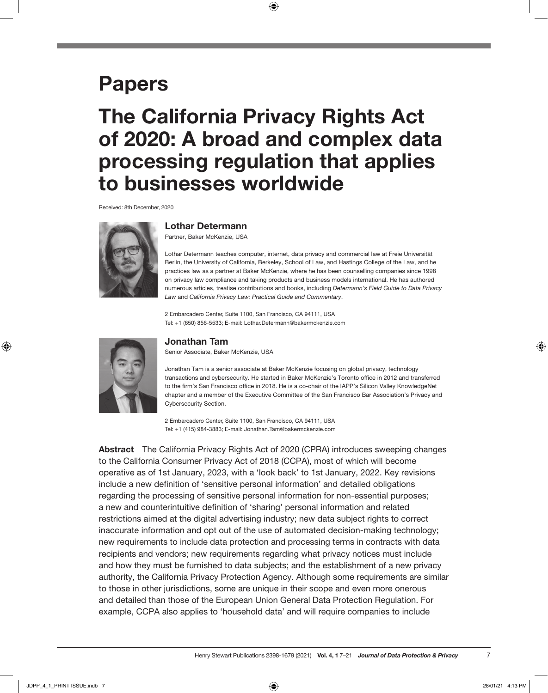### Papers

## The California Privacy Rights Act of 2020: A broad and complex data processing regulation that applies to businesses worldwide

 $\bigoplus$ 

Received: 8th December, 2020



Lothar Determann

Partner, Baker McKenzie, USA

Lothar Determann teaches computer, internet, data privacy and commercial law at Freie Universität Berlin, the University of California, Berkeley, School of Law, and Hastings College of the Law, and he practices law as a partner at Baker McKenzie, where he has been counselling companies since 1998 on privacy law compliance and taking products and business models international. He has authored numerous articles, treatise contributions and books, including *Determann's Field Guide to Data Privacy Law* and *California Privacy Law: Practical Guide and Commentary*.

2 Embarcadero Center, Suite 1100, San Francisco, CA 94111, USA Tel: +1 (650) 856-5533; E-mail: [Lothar.Determann@bakermckenzie.com](mailto:Lothar.Determann@bakermckenzie.com)



⊕

#### Jonathan Tam

Senior Associate, Baker McKenzie, USA

Jonathan Tam is a senior associate at Baker McKenzie focusing on global privacy, technology transactions and cybersecurity. He started in Baker McKenzie's Toronto office in 2012 and transferred to the firm's San Francisco office in 2018. He is a co-chair of the IAPP's Silicon Valley KnowledgeNet chapter and a member of the Executive Committee of the San Francisco Bar Association's Privacy and Cybersecurity Section.

2 Embarcadero Center, Suite 1100, San Francisco, CA 94111, USA Tel: +1 (415) 984-3883; E-mail: [Jonathan.Tam@bakermckenzie.com](mailto:Jonathan.Tam@bakermckenzie.com)

Abstract The California Privacy Rights Act of 2020 (CPRA) introduces sweeping changes to the California Consumer Privacy Act of 2018 (CCPA), most of which will become operative as of 1st January, 2023, with a 'look back' to 1st January, 2022. Key revisions include a new definition of 'sensitive personal information' and detailed obligations regarding the processing of sensitive personal information for non-essential purposes; a new and counterintuitive definition of 'sharing' personal information and related restrictions aimed at the digital advertising industry; new data subject rights to correct inaccurate information and opt out of the use of automated decision-making technology; new requirements to include data protection and processing terms in contracts with data recipients and vendors; new requirements regarding what privacy notices must include and how they must be furnished to data subjects; and the establishment of a new privacy authority, the California Privacy Protection Agency. Although some requirements are similar to those in other jurisdictions, some are unique in their scope and even more onerous and detailed than those of the European Union General Data Protection Regulation. For example, CCPA also applies to 'household data' and will require companies to include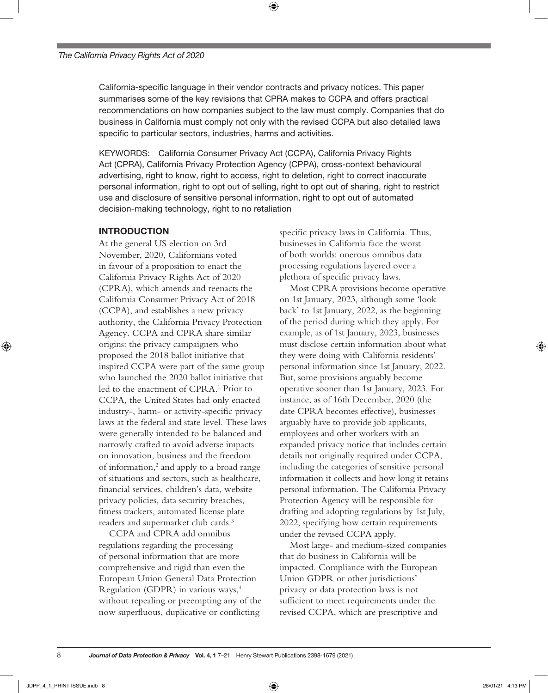California-specific language in their vendor contracts and privacy notices. This paper summarises some of the key revisions that CPRA makes to CCPA and offers practical recommendations on how companies subject to the law must comply. Companies that do business in California must comply not only with the revised CCPA but also detailed laws specific to particular sectors, industries, harms and activities.

⊕

KEYWORDS: California Consumer Privacy Act (CCPA), California Privacy Rights Act (CPRA), California Privacy Protection Agency (CPPA), cross-context behavioural advertising, right to know, right to access, right to deletion, right to correct inaccurate personal information, right to opt out of selling, right to opt out of sharing, right to restrict use and disclosure of sensitive personal information, right to opt out of automated decision-making technology, right to no retaliation

#### INTRODUCTION

At the general US election on 3rd November, 2020, Californians voted in favour of a proposition to enact the California Privacy Rights Act of 2020 (CPRA), which amends and reenacts the California Consumer Privacy Act of 2018 (CCPA), and establishes a new privacy authority, the California Privacy Protection Agency. CCPA and CPRA share similar origins: the privacy campaigners who proposed the 2018 ballot initiative that inspired CCPA were part of the same group who launched the 2020 ballot initiative that led to the enactment of CPRA.<sup>1</sup> Prior to CCPA, the United States had only enacted industry-, harm- or activity-specific privacy laws at the federal and state level. These laws were generally intended to be balanced and narrowly crafted to avoid adverse impacts on innovation, business and the freedom of information,<sup>2</sup> and apply to a broad range of situations and sectors, such as healthcare, financial services, children's data, website privacy policies, data security breaches, fitness trackers, automated license plate readers and supermarket club cards.3

CCPA and CPRA add omnibus regulations regarding the processing of personal information that are more comprehensive and rigid than even the European Union General Data Protection Regulation (GDPR) in various ways,4 without repealing or preempting any of the now superfluous, duplicative or conflicting

specific privacy laws in California. Thus, businesses in California face the worst of both worlds: onerous omnibus data processing regulations layered over a plethora of specific privacy laws.

Most CPRA provisions become operative on 1st January, 2023, although some 'look back' to 1st January, 2022, as the beginning of the period during which they apply. For example, as of 1st January, 2023, businesses must disclose certain information about what they were doing with California residents' personal information since 1st January, 2022. But, some provisions arguably become operative sooner than 1st January, 2023. For instance, as of 16th December, 2020 (the date CPRA becomes effective), businesses arguably have to provide job applicants, employees and other workers with an expanded privacy notice that includes certain details not originally required under CCPA, including the categories of sensitive personal information it collects and how long it retains personal information. The California Privacy Protection Agency will be responsible for drafting and adopting regulations by 1st July, 2022, specifying how certain requirements under the revised CCPA apply.

Most large- and medium-sized companies that do business in California will be impacted. Compliance with the European Union GDPR or other jurisdictions' privacy or data protection laws is not sufficient to meet requirements under the revised CCPA, which are prescriptive and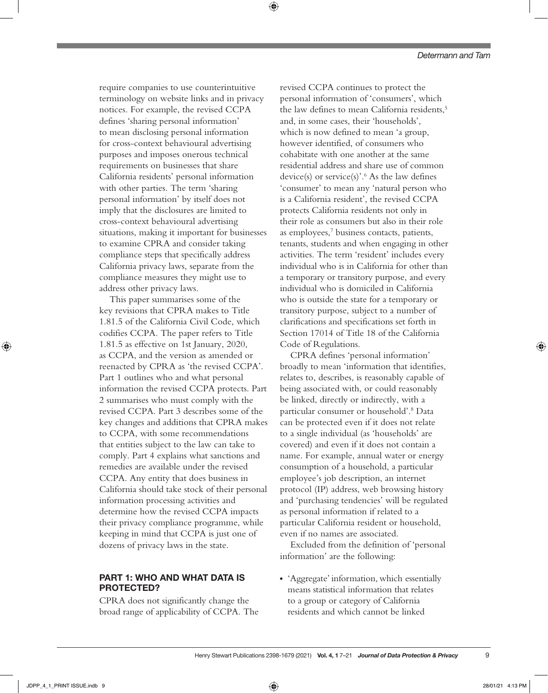require companies to use counterintuitive terminology on website links and in privacy notices. For example, the revised CCPA defines 'sharing personal information' to mean disclosing personal information for cross-context behavioural advertising purposes and imposes onerous technical requirements on businesses that share California residents' personal information with other parties. The term 'sharing personal information' by itself does not imply that the disclosures are limited to cross-context behavioural advertising situations, making it important for businesses to examine CPRA and consider taking compliance steps that specifically address California privacy laws, separate from the compliance measures they might use to address other privacy laws.

⊕

This paper summarises some of the key revisions that CPRA makes to Title 1.81.5 of the California Civil Code, which codifies CCPA. The paper refers to Title 1.81.5 as effective on 1st January, 2020, as CCPA, and the version as amended or reenacted by CPRA as 'the revised CCPA'. Part 1 outlines who and what personal information the revised CCPA protects. Part 2 summarises who must comply with the revised CCPA. Part 3 describes some of the key changes and additions that CPRA makes to CCPA, with some recommendations that entities subject to the law can take to comply. Part 4 explains what sanctions and remedies are available under the revised CCPA. Any entity that does business in California should take stock of their personal information processing activities and determine how the revised CCPA impacts their privacy compliance programme, while keeping in mind that CCPA is just one of dozens of privacy laws in the state.

#### PART 1: WHO AND WHAT DATA IS PROTECTED?

CPRA does not significantly change the broad range of applicability of CCPA. The

revised CCPA continues to protect the personal information of 'consumers', which the law defines to mean California residents.<sup>5</sup> and, in some cases, their 'households', which is now defined to mean 'a group, however identified, of consumers who cohabitate with one another at the same residential address and share use of common device(s) or service(s)'.<sup>6</sup> As the law defines 'consumer' to mean any 'natural person who is a California resident', the revised CCPA protects California residents not only in their role as consumers but also in their role as employees,7 business contacts, patients, tenants, students and when engaging in other activities. The term 'resident' includes every individual who is in California for other than a temporary or transitory purpose, and every individual who is domiciled in California who is outside the state for a temporary or transitory purpose, subject to a number of clarifications and specifications set forth in Section 17014 of Title 18 of the California Code of Regulations.

CPRA defines 'personal information' broadly to mean 'information that identifies, relates to, describes, is reasonably capable of being associated with, or could reasonably be linked, directly or indirectly, with a particular consumer or household'.8 Data can be protected even if it does not relate to a single individual (as 'households' are covered) and even if it does not contain a name. For example, annual water or energy consumption of a household, a particular employee's job description, an internet protocol (IP) address, web browsing history and 'purchasing tendencies' will be regulated as personal information if related to a particular California resident or household, even if no names are associated.

Excluded from the definition of 'personal information' are the following:

• 'Aggregate' information, which essentially means statistical information that relates to a group or category of California residents and which cannot be linked

9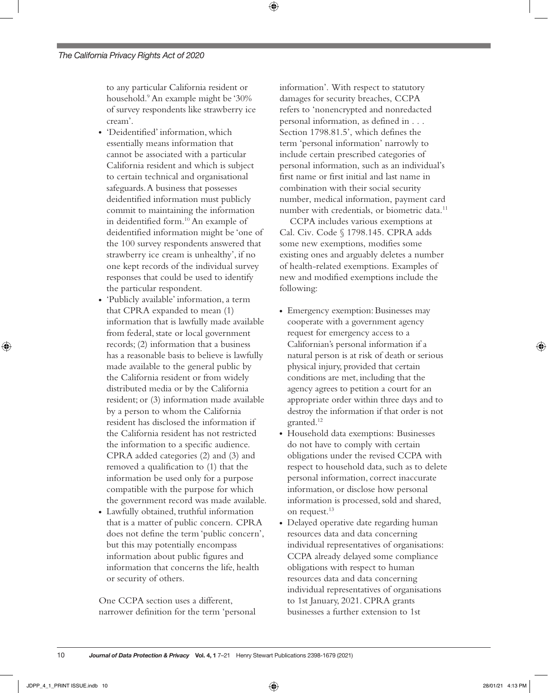to any particular California resident or household.9 An example might be '30% of survey respondents like strawberry ice cream'.

⊕

- 'Deidentified' information, which essentially means information that cannot be associated with a particular California resident and which is subject to certain technical and organisational safeguards. A business that possesses deidentified information must publicly commit to maintaining the information in deidentified form.<sup>10</sup> An example of deidentified information might be 'one of the 100 survey respondents answered that strawberry ice cream is unhealthy', if no one kept records of the individual survey responses that could be used to identify the particular respondent.
- 'Publicly available' information, a term that CPRA expanded to mean (1) information that is lawfully made available from federal, state or local government records; (2) information that a business has a reasonable basis to believe is lawfully made available to the general public by the California resident or from widely distributed media or by the California resident; or (3) information made available by a person to whom the California resident has disclosed the information if the California resident has not restricted the information to a specific audience. CPRA added categories (2) and (3) and removed a qualification to (1) that the information be used only for a purpose compatible with the purpose for which the government record was made available.
- Lawfully obtained, truthful information that is a matter of public concern. CPRA does not define the term 'public concern', but this may potentially encompass information about public figures and information that concerns the life, health or security of others.

One CCPA section uses a different, narrower definition for the term 'personal information'. With respect to statutory damages for security breaches, CCPA refers to 'nonencrypted and nonredacted personal information, as defined in . . . Section 1798.81.5', which defines the term 'personal information' narrowly to include certain prescribed categories of personal information, such as an individual's first name or first initial and last name in combination with their social security number, medical information, payment card number with credentials, or biometric data.<sup>11</sup>

CCPA includes various exemptions at Cal. Civ. Code § 1798.145. CPRA adds some new exemptions, modifies some existing ones and arguably deletes a number of health-related exemptions. Examples of new and modified exemptions include the following:

- Emergency exemption: Businesses may cooperate with a government agency request for emergency access to a Californian's personal information if a natural person is at risk of death or serious physical injury, provided that certain conditions are met, including that the agency agrees to petition a court for an appropriate order within three days and to destroy the information if that order is not granted.12
- Household data exemptions: Businesses do not have to comply with certain obligations under the revised CCPA with respect to household data, such as to delete personal information, correct inaccurate information, or disclose how personal information is processed, sold and shared, on request.13
- Delayed operative date regarding human resources data and data concerning individual representatives of organisations: CCPA already delayed some compliance obligations with respect to human resources data and data concerning individual representatives of organisations to 1st January, 2021. CPRA grants businesses a further extension to 1st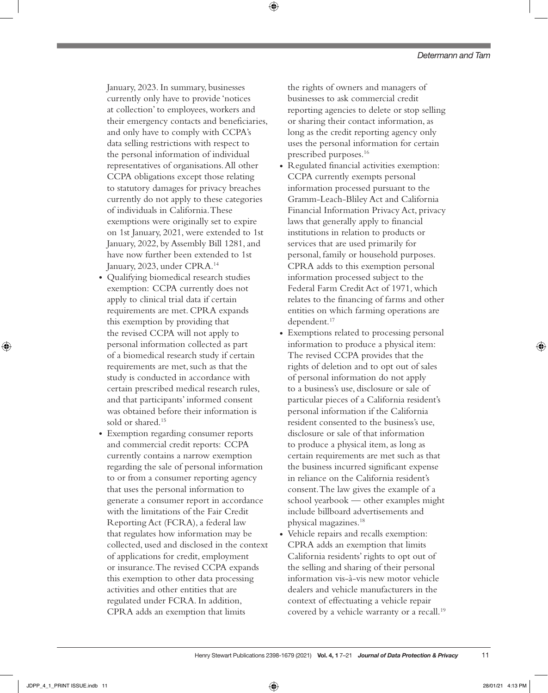January, 2023. In summary, businesses currently only have to provide 'notices at collection' to employees, workers and their emergency contacts and beneficiaries, and only have to comply with CCPA's data selling restrictions with respect to the personal information of individual representatives of organisations. All other CCPA obligations except those relating to statutory damages for privacy breaches currently do not apply to these categories of individuals in California. These exemptions were originally set to expire on 1st January, 2021, were extended to 1st January, 2022, by Assembly Bill 1281, and have now further been extended to 1st January, 2023, under CPRA.14

- Qualifying biomedical research studies exemption: CCPA currently does not apply to clinical trial data if certain requirements are met. CPRA expands this exemption by providing that the revised CCPA will not apply to personal information collected as part of a biomedical research study if certain requirements are met, such as that the study is conducted in accordance with certain prescribed medical research rules, and that participants' informed consent was obtained before their information is sold or shared.<sup>15</sup>
- Exemption regarding consumer reports and commercial credit reports: CCPA currently contains a narrow exemption regarding the sale of personal information to or from a consumer reporting agency that uses the personal information to generate a consumer report in accordance with the limitations of the Fair Credit Reporting Act (FCRA), a federal law that regulates how information may be collected, used and disclosed in the context of applications for credit, employment or insurance. The revised CCPA expands this exemption to other data processing activities and other entities that are regulated under FCRA. In addition, CPRA adds an exemption that limits

the rights of owners and managers of businesses to ask commercial credit reporting agencies to delete or stop selling or sharing their contact information, as long as the credit reporting agency only uses the personal information for certain prescribed purposes.16

⊕

- Regulated financial activities exemption: CCPA currently exempts personal information processed pursuant to the Gramm-Leach-Bliley Act and California Financial Information Privacy Act, privacy laws that generally apply to financial institutions in relation to products or services that are used primarily for personal, family or household purposes. CPRA adds to this exemption personal information processed subject to the Federal Farm Credit Act of 1971, which relates to the financing of farms and other entities on which farming operations are dependent.<sup>17</sup>
- Exemptions related to processing personal information to produce a physical item: The revised CCPA provides that the rights of deletion and to opt out of sales of personal information do not apply to a business's use, disclosure or sale of particular pieces of a California resident's personal information if the California resident consented to the business's use, disclosure or sale of that information to produce a physical item, as long as certain requirements are met such as that the business incurred significant expense in reliance on the California resident's consent. The law gives the example of a school yearbook — other examples might include billboard advertisements and physical magazines.18
- Vehicle repairs and recalls exemption: CPRA adds an exemption that limits California residents' rights to opt out of the selling and sharing of their personal information vis-à-vis new motor vehicle dealers and vehicle manufacturers in the context of effectuating a vehicle repair covered by a vehicle warranty or a recall.<sup>19</sup>

⊕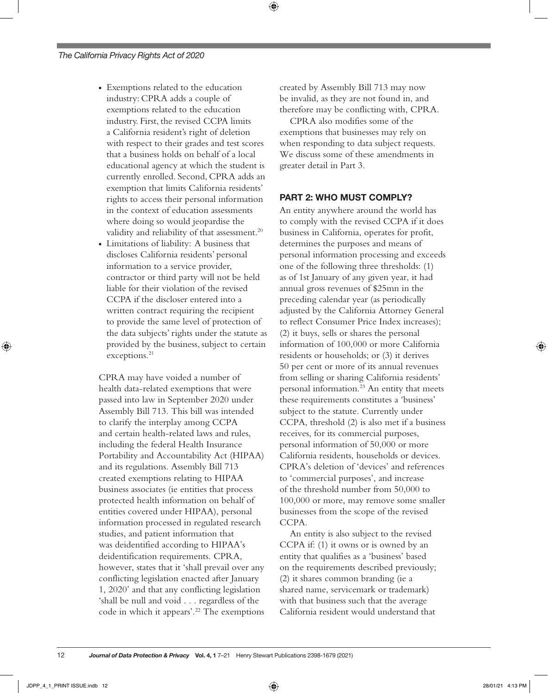- Exemptions related to the education industry: CPRA adds a couple of exemptions related to the education industry. First, the revised CCPA limits a California resident's right of deletion with respect to their grades and test scores that a business holds on behalf of a local educational agency at which the student is currently enrolled. Second, CPRA adds an exemption that limits California residents' rights to access their personal information in the context of education assessments where doing so would jeopardise the validity and reliability of that assessment.<sup>20</sup>
- Limitations of liability: A business that discloses California residents' personal information to a service provider, contractor or third party will not be held liable for their violation of the revised CCPA if the discloser entered into a written contract requiring the recipient to provide the same level of protection of the data subjects' rights under the statute as provided by the business, subject to certain exceptions.<sup>21</sup>

CPRA may have voided a number of health data-related exemptions that were passed into law in September 2020 under Assembly Bill 713. This bill was intended to clarify the interplay among CCPA and certain health-related laws and rules, including the federal Health Insurance Portability and Accountability Act (HIPAA) and its regulations. Assembly Bill 713 created exemptions relating to HIPAA business associates (ie entities that process protected health information on behalf of entities covered under HIPAA), personal information processed in regulated research studies, and patient information that was deidentified according to HIPAA's deidentification requirements. CPRA, however, states that it 'shall prevail over any conflicting legislation enacted after January 1, 2020' and that any conflicting legislation 'shall be null and void . . . regardless of the code in which it appears'.<sup>22</sup> The exemptions

created by Assembly Bill 713 may now be invalid, as they are not found in, and therefore may be conflicting with, CPRA.

⊕

CPRA also modifies some of the exemptions that businesses may rely on when responding to data subject requests. We discuss some of these amendments in greater detail in Part 3.

#### PART 2: WHO MUST COMPLY?

An entity anywhere around the world has to comply with the revised CCPA if it does business in California, operates for profit, determines the purposes and means of personal information processing and exceeds one of the following three thresholds: (1) as of 1st January of any given year, it had annual gross revenues of \$25mn in the preceding calendar year (as periodically adjusted by the California Attorney General to reflect Consumer Price Index increases); (2) it buys, sells or shares the personal information of 100,000 or more California residents or households; or (3) it derives 50 per cent or more of its annual revenues from selling or sharing California residents' personal information.23 An entity that meets these requirements constitutes a 'business' subject to the statute. Currently under CCPA, threshold (2) is also met if a business receives, for its commercial purposes, personal information of 50,000 or more California residents, households or devices. CPRA's deletion of 'devices' and references to 'commercial purposes', and increase of the threshold number from 50,000 to 100,000 or more, may remove some smaller businesses from the scope of the revised CCPA.

An entity is also subject to the revised CCPA if: (1) it owns or is owned by an entity that qualifies as a 'business' based on the requirements described previously; (2) it shares common branding (ie a shared name, servicemark or trademark) with that business such that the average California resident would understand that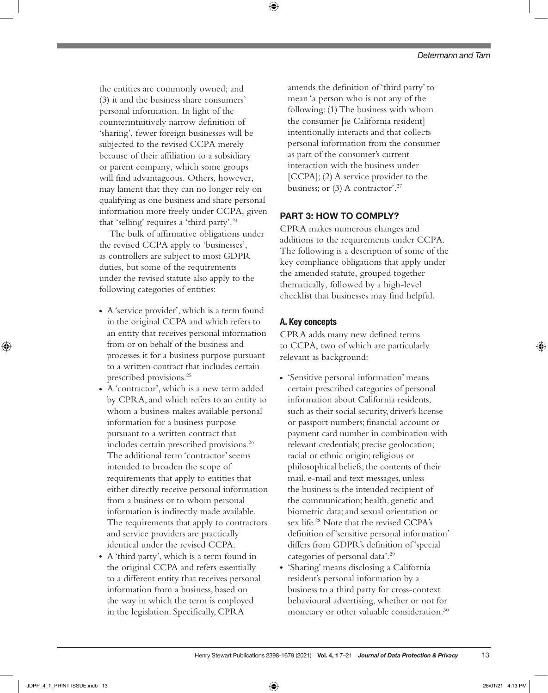the entities are commonly owned; and (3) it and the business share consumers' personal information. In light of the counterintuitively narrow definition of 'sharing', fewer foreign businesses will be subjected to the revised CCPA merely because of their affiliation to a subsidiary or parent company, which some groups will find advantageous. Others, however, may lament that they can no longer rely on qualifying as one business and share personal information more freely under CCPA, given that 'selling' requires a 'third party'.24

The bulk of affirmative obligations under the revised CCPA apply to 'businesses', as controllers are subject to most GDPR duties, but some of the requirements under the revised statute also apply to the following categories of entities:

- A 'service provider', which is a term found in the original CCPA and which refers to an entity that receives personal information from or on behalf of the business and processes it for a business purpose pursuant to a written contract that includes certain prescribed provisions.25
- A 'contractor', which is a new term added by CPRA, and which refers to an entity to whom a business makes available personal information for a business purpose pursuant to a written contract that includes certain prescribed provisions.<sup>26</sup> The additional term 'contractor' seems intended to broaden the scope of requirements that apply to entities that either directly receive personal information from a business or to whom personal information is indirectly made available. The requirements that apply to contractors and service providers are practically identical under the revised CCPA.
- A 'third party', which is a term found in the original CCPA and refers essentially to a different entity that receives personal information from a business, based on the way in which the term is employed in the legislation. Specifically, CPRA

amends the definition of 'third party' to mean 'a person who is not any of the following: (1) The business with whom the consumer [ie California resident] intentionally interacts and that collects personal information from the consumer as part of the consumer's current interaction with the business under [CCPA]; (2) A service provider to the business; or  $(3)$  A contractor'.<sup>27</sup>

#### PART 3: HOW TO COMPLY?

CPRA makes numerous changes and additions to the requirements under CCPA. The following is a description of some of the key compliance obligations that apply under the amended statute, grouped together thematically, followed by a high-level checklist that businesses may find helpful.

#### A. Key concepts

CPRA adds many new defined terms to CCPA, two of which are particularly relevant as background:

- 'Sensitive personal information' means certain prescribed categories of personal information about California residents, such as their social security, driver's license or passport numbers; financial account or payment card number in combination with relevant credentials; precise geolocation; racial or ethnic origin; religious or philosophical beliefs; the contents of their mail, e-mail and text messages, unless the business is the intended recipient of the communication; health, genetic and biometric data; and sexual orientation or sex life.<sup>28</sup> Note that the revised CCPA's definition of 'sensitive personal information' differs from GDPR's definition of 'special categories of personal data'.29
- 'Sharing' means disclosing a California resident's personal information by a business to a third party for cross-context behavioural advertising, whether or not for monetary or other valuable consideration.<sup>30</sup>

⊕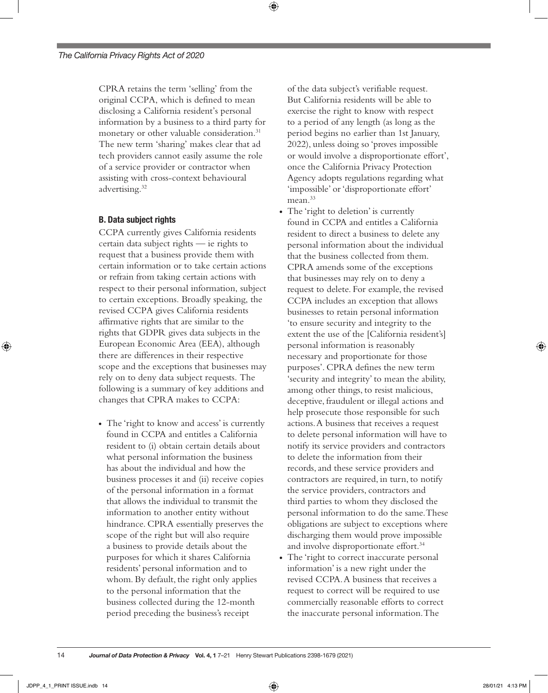CPRA retains the term 'selling' from the original CCPA, which is defined to mean disclosing a California resident's personal information by a business to a third party for monetary or other valuable consideration.<sup>31</sup> The new term 'sharing' makes clear that ad tech providers cannot easily assume the role of a service provider or contractor when assisting with cross-context behavioural advertising.32

⊕

#### B. Data subject rights

CCPA currently gives California residents certain data subject rights — ie rights to request that a business provide them with certain information or to take certain actions or refrain from taking certain actions with respect to their personal information, subject to certain exceptions. Broadly speaking, the revised CCPA gives California residents affirmative rights that are similar to the rights that GDPR gives data subjects in the European Economic Area (EEA), although there are differences in their respective scope and the exceptions that businesses may rely on to deny data subject requests. The following is a summary of key additions and changes that CPRA makes to CCPA:

• The 'right to know and access' is currently found in CCPA and entitles a California resident to (i) obtain certain details about what personal information the business has about the individual and how the business processes it and (ii) receive copies of the personal information in a format that allows the individual to transmit the information to another entity without hindrance. CPRA essentially preserves the scope of the right but will also require a business to provide details about the purposes for which it shares California residents' personal information and to whom. By default, the right only applies to the personal information that the business collected during the 12-month period preceding the business's receipt

of the data subject's verifiable request. But California residents will be able to exercise the right to know with respect to a period of any length (as long as the period begins no earlier than 1st January, 2022), unless doing so 'proves impossible or would involve a disproportionate effort', once the California Privacy Protection Agency adopts regulations regarding what 'impossible' or 'disproportionate effort' mean.<sup>33</sup>

- The 'right to deletion' is currently found in CCPA and entitles a California resident to direct a business to delete any personal information about the individual that the business collected from them. CPRA amends some of the exceptions that businesses may rely on to deny a request to delete. For example, the revised CCPA includes an exception that allows businesses to retain personal information 'to ensure security and integrity to the extent the use of the [California resident's] personal information is reasonably necessary and proportionate for those purposes'. CPRA defines the new term 'security and integrity' to mean the ability, among other things, to resist malicious, deceptive, fraudulent or illegal actions and help prosecute those responsible for such actions. A business that receives a request to delete personal information will have to notify its service providers and contractors to delete the information from their records, and these service providers and contractors are required, in turn, to notify the service providers, contractors and third parties to whom they disclosed the personal information to do the same. These obligations are subject to exceptions where discharging them would prove impossible and involve disproportionate effort.<sup>34</sup>
- The 'right to correct inaccurate personal information' is a new right under the revised CCPA. A business that receives a request to correct will be required to use commercially reasonable efforts to correct the inaccurate personal information. The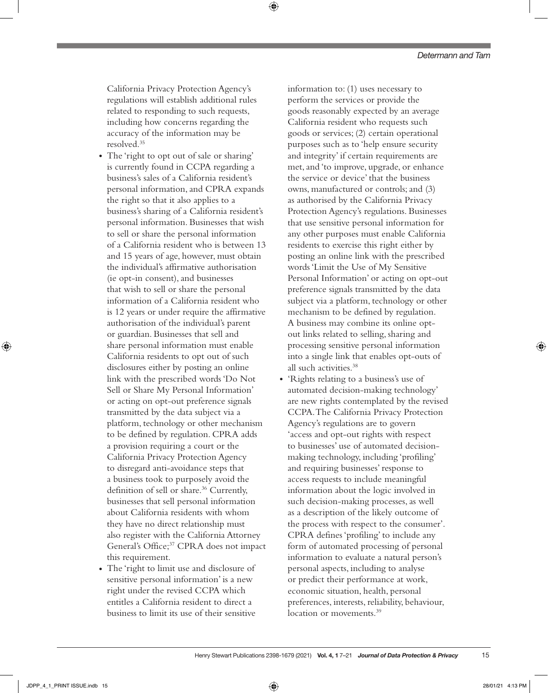California Privacy Protection Agency's regulations will establish additional rules related to responding to such requests, including how concerns regarding the accuracy of the information may be resolved.35

⊕

- The 'right to opt out of sale or sharing' is currently found in CCPA regarding a business's sales of a California resident's personal information, and CPRA expands the right so that it also applies to a business's sharing of a California resident's personal information. Businesses that wish to sell or share the personal information of a California resident who is between 13 and 15 years of age, however, must obtain the individual's affirmative authorisation (ie opt-in consent), and businesses that wish to sell or share the personal information of a California resident who is 12 years or under require the affirmative authorisation of the individual's parent or guardian. Businesses that sell and share personal information must enable California residents to opt out of such disclosures either by posting an online link with the prescribed words 'Do Not Sell or Share My Personal Information' or acting on opt-out preference signals transmitted by the data subject via a platform, technology or other mechanism to be defined by regulation. CPRA adds a provision requiring a court or the California Privacy Protection Agency to disregard anti-avoidance steps that a business took to purposely avoid the definition of sell or share.<sup>36</sup> Currently, businesses that sell personal information about California residents with whom they have no direct relationship must also register with the California Attorney General's Office;<sup>37</sup> CPRA does not impact this requirement.
- The 'right to limit use and disclosure of sensitive personal information' is a new right under the revised CCPA which entitles a California resident to direct a business to limit its use of their sensitive

information to: (1) uses necessary to perform the services or provide the goods reasonably expected by an average California resident who requests such goods or services; (2) certain operational purposes such as to 'help ensure security and integrity' if certain requirements are met, and 'to improve, upgrade, or enhance the service or device' that the business owns, manufactured or controls; and (3) as authorised by the California Privacy Protection Agency's regulations. Businesses that use sensitive personal information for any other purposes must enable California residents to exercise this right either by posting an online link with the prescribed words 'Limit the Use of My Sensitive Personal Information' or acting on opt-out preference signals transmitted by the data subject via a platform, technology or other mechanism to be defined by regulation. A business may combine its online optout links related to selling, sharing and processing sensitive personal information into a single link that enables opt-outs of all such activities.38

● 'Rights relating to a business's use of automated decision-making technology' are new rights contemplated by the revised CCPA. The California Privacy Protection Agency's regulations are to govern 'access and opt-out rights with respect to businesses' use of automated decisionmaking technology, including 'profiling' and requiring businesses' response to access requests to include meaningful information about the logic involved in such decision-making processes, as well as a description of the likely outcome of the process with respect to the consumer'. CPRA defines 'profiling' to include any form of automated processing of personal information to evaluate a natural person's personal aspects, including to analyse or predict their performance at work, economic situation, health, personal preferences, interests, reliability, behaviour, location or movements.<sup>39</sup>

⊕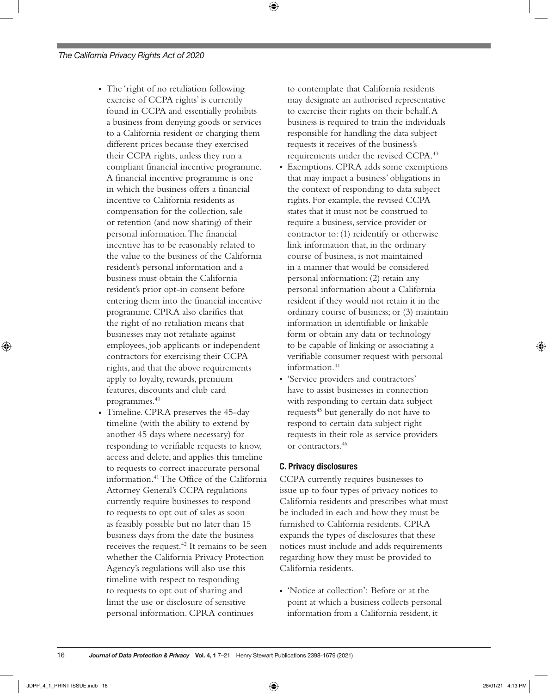- The 'right of no retaliation following exercise of CCPA rights' is currently found in CCPA and essentially prohibits a business from denying goods or services to a California resident or charging them different prices because they exercised their CCPA rights, unless they run a compliant financial incentive programme. A financial incentive programme is one in which the business offers a financial incentive to California residents as compensation for the collection, sale or retention (and now sharing) of their personal information. The financial incentive has to be reasonably related to the value to the business of the California resident's personal information and a business must obtain the California resident's prior opt-in consent before entering them into the financial incentive programme. CPRA also clarifies that the right of no retaliation means that businesses may not retaliate against employees, job applicants or independent contractors for exercising their CCPA rights, and that the above requirements apply to loyalty, rewards, premium features, discounts and club card programmes.<sup>40</sup>
- Timeline. CPRA preserves the 45-day timeline (with the ability to extend by another 45 days where necessary) for responding to verifiable requests to know, access and delete, and applies this timeline to requests to correct inaccurate personal information.41 The Office of the California Attorney General's CCPA regulations currently require businesses to respond to requests to opt out of sales as soon as feasibly possible but no later than 15 business days from the date the business receives the request.<sup>42</sup> It remains to be seen whether the California Privacy Protection Agency's regulations will also use this timeline with respect to responding to requests to opt out of sharing and limit the use or disclosure of sensitive personal information. CPRA continues

to contemplate that California residents may designate an authorised representative to exercise their rights on their behalf. A business is required to train the individuals responsible for handling the data subject requests it receives of the business's requirements under the revised CCPA.43

⊕

- Exemptions. CPRA adds some exemptions that may impact a business' obligations in the context of responding to data subject rights. For example, the revised CCPA states that it must not be construed to require a business, service provider or contractor to: (1) reidentify or otherwise link information that, in the ordinary course of business, is not maintained in a manner that would be considered personal information; (2) retain any personal information about a California resident if they would not retain it in the ordinary course of business; or (3) maintain information in identifiable or linkable form or obtain any data or technology to be capable of linking or associating a verifiable consumer request with personal information.44
- 'Service providers and contractors' have to assist businesses in connection with responding to certain data subject requests<sup>45</sup> but generally do not have to respond to certain data subject right requests in their role as service providers or contractors.46

#### C. Privacy disclosures

CCPA currently requires businesses to issue up to four types of privacy notices to California residents and prescribes what must be included in each and how they must be furnished to California residents. CPRA expands the types of disclosures that these notices must include and adds requirements regarding how they must be provided to California residents.

● 'Notice at collection': Before or at the point at which a business collects personal information from a California resident, it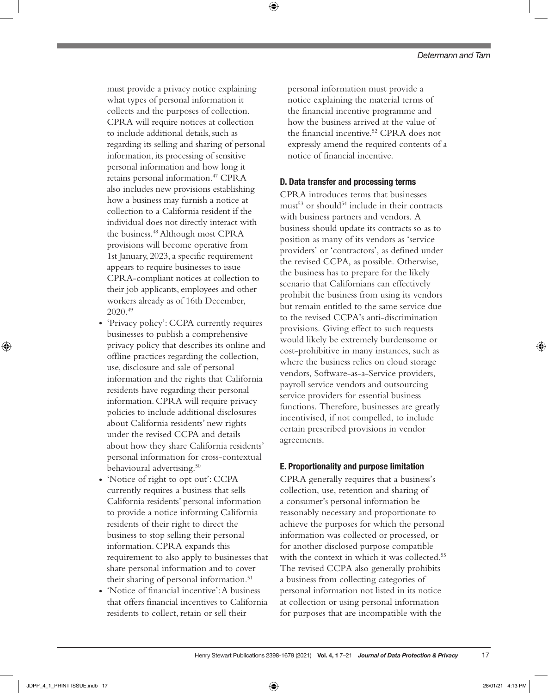must provide a privacy notice explaining what types of personal information it collects and the purposes of collection. CPRA will require notices at collection to include additional details, such as regarding its selling and sharing of personal information, its processing of sensitive personal information and how long it retains personal information.47 CPRA also includes new provisions establishing how a business may furnish a notice at collection to a California resident if the individual does not directly interact with the business.48 Although most CPRA provisions will become operative from 1st January, 2023, a specific requirement appears to require businesses to issue CPRA-compliant notices at collection to their job applicants, employees and other workers already as of 16th December, 2020.49

- 'Privacy policy': CCPA currently requires businesses to publish a comprehensive privacy policy that describes its online and offline practices regarding the collection, use, disclosure and sale of personal information and the rights that California residents have regarding their personal information. CPRA will require privacy policies to include additional disclosures about California residents' new rights under the revised CCPA and details about how they share California residents' personal information for cross-contextual behavioural advertising.<sup>50</sup>
- 'Notice of right to opt out': CCPA currently requires a business that sells California residents' personal information to provide a notice informing California residents of their right to direct the business to stop selling their personal information. CPRA expands this requirement to also apply to businesses that share personal information and to cover their sharing of personal information.<sup>51</sup>
- 'Notice of financial incentive': A business that offers financial incentives to California residents to collect, retain or sell their

personal information must provide a notice explaining the material terms of the financial incentive programme and how the business arrived at the value of the financial incentive.52 CPRA does not expressly amend the required contents of a notice of financial incentive.

#### D. Data transfer and processing terms

⊕

CPRA introduces terms that businesses must $53$  or should $54$  include in their contracts with business partners and vendors. A business should update its contracts so as to position as many of its vendors as 'service providers' or 'contractors', as defined under the revised CCPA, as possible. Otherwise, the business has to prepare for the likely scenario that Californians can effectively prohibit the business from using its vendors but remain entitled to the same service due to the revised CCPA's anti-discrimination provisions. Giving effect to such requests would likely be extremely burdensome or cost-prohibitive in many instances, such as where the business relies on cloud storage vendors, Software-as-a-Service providers, payroll service vendors and outsourcing service providers for essential business functions. Therefore, businesses are greatly incentivised, if not compelled, to include certain prescribed provisions in vendor agreements.

#### E. Proportionality and purpose limitation

CPRA generally requires that a business's collection, use, retention and sharing of a consumer's personal information be reasonably necessary and proportionate to achieve the purposes for which the personal information was collected or processed, or for another disclosed purpose compatible with the context in which it was collected.<sup>55</sup> The revised CCPA also generally prohibits a business from collecting categories of personal information not listed in its notice at collection or using personal information for purposes that are incompatible with the

⊕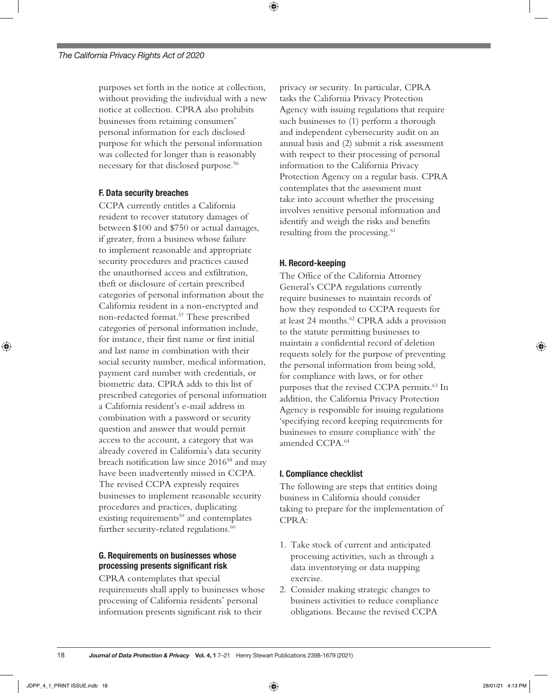purposes set forth in the notice at collection, without providing the individual with a new notice at collection. CPRA also prohibits businesses from retaining consumers' personal information for each disclosed purpose for which the personal information was collected for longer than is reasonably necessary for that disclosed purpose.56

#### F. Data security breaches

CCPA currently entitles a California resident to recover statutory damages of between \$100 and \$750 or actual damages, if greater, from a business whose failure to implement reasonable and appropriate security procedures and practices caused the unauthorised access and exfiltration, theft or disclosure of certain prescribed categories of personal information about the California resident in a non-encrypted and non-redacted format.57 These prescribed categories of personal information include, for instance, their first name or first initial and last name in combination with their social security number, medical information, payment card number with credentials, or biometric data. CPRA adds to this list of prescribed categories of personal information a California resident's e-mail address in combination with a password or security question and answer that would permit access to the account, a category that was already covered in California's data security breach notification law since 2016<sup>58</sup> and may have been inadvertently missed in CCPA. The revised CCPA expressly requires businesses to implement reasonable security procedures and practices, duplicating existing requirements<sup>59</sup> and contemplates further security-related regulations.<sup>60</sup>

#### G. Requirements on businesses whose processing presents significant risk

CPRA contemplates that special requirements shall apply to businesses whose processing of California residents' personal information presents significant risk to their

privacy or security. In particular, CPRA tasks the California Privacy Protection Agency with issuing regulations that require such businesses to (1) perform a thorough and independent cybersecurity audit on an annual basis and (2) submit a risk assessment with respect to their processing of personal information to the California Privacy Protection Agency on a regular basis. CPRA contemplates that the assessment must take into account whether the processing involves sensitive personal information and identify and weigh the risks and benefits resulting from the processing.<sup>61</sup>

#### H. Record-keeping

The Office of the California Attorney General's CCPA regulations currently require businesses to maintain records of how they responded to CCPA requests for at least 24 months.<sup>62</sup> CPRA adds a provision to the statute permitting businesses to maintain a confidential record of deletion requests solely for the purpose of preventing the personal information from being sold, for compliance with laws, or for other purposes that the revised CCPA permits.<sup>63</sup> In addition, the California Privacy Protection Agency is responsible for issuing regulations 'specifying record keeping requirements for businesses to ensure compliance with' the amended CCPA.64

#### I. Compliance checklist

The following are steps that entities doing business in California should consider taking to prepare for the implementation of CPRA:

- 1. Take stock of current and anticipated processing activities, such as through a data inventorying or data mapping exercise.
- 2. Consider making strategic changes to business activities to reduce compliance obligations. Because the revised CCPA

18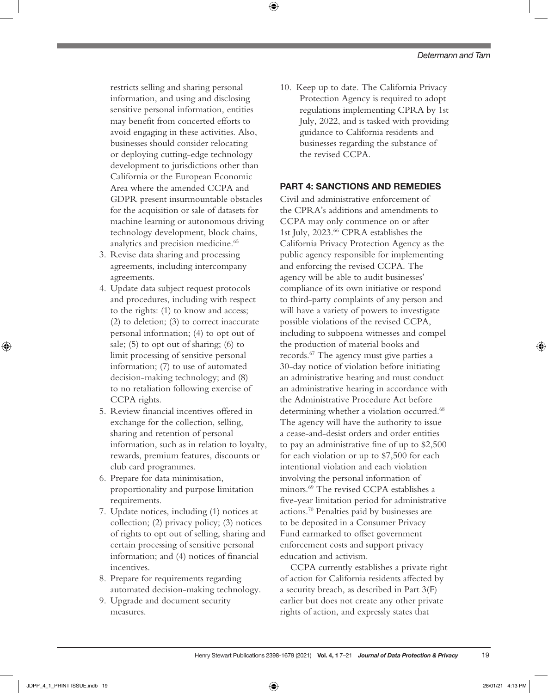restricts selling and sharing personal information, and using and disclosing sensitive personal information, entities may benefit from concerted efforts to avoid engaging in these activities. Also, businesses should consider relocating or deploying cutting-edge technology development to jurisdictions other than California or the European Economic Area where the amended CCPA and GDPR present insurmountable obstacles for the acquisition or sale of datasets for machine learning or autonomous driving technology development, block chains, analytics and precision medicine.<sup>65</sup>

- 3. Revise data sharing and processing agreements, including intercompany agreements.
- 4. Update data subject request protocols and procedures, including with respect to the rights: (1) to know and access; (2) to deletion; (3) to correct inaccurate personal information; (4) to opt out of sale; (5) to opt out of sharing; (6) to limit processing of sensitive personal information; (7) to use of automated decision-making technology; and (8) to no retaliation following exercise of CCPA rights.
- 5. Review financial incentives offered in exchange for the collection, selling, sharing and retention of personal information, such as in relation to loyalty, rewards, premium features, discounts or club card programmes.
- 6. Prepare for data minimisation, proportionality and purpose limitation requirements.
- 7. Update notices, including (1) notices at collection; (2) privacy policy; (3) notices of rights to opt out of selling, sharing and certain processing of sensitive personal information; and (4) notices of financial incentives.
- 8. Prepare for requirements regarding automated decision-making technology.
- 9. Upgrade and document security measures.

10. Keep up to date. The California Privacy Protection Agency is required to adopt regulations implementing CPRA by 1st July, 2022, and is tasked with providing guidance to California residents and businesses regarding the substance of the revised CCPA.

#### PART 4: SANCTIONS AND REMEDIES

Civil and administrative enforcement of the CPRA's additions and amendments to CCPA may only commence on or after 1st July, 2023.66 CPRA establishes the California Privacy Protection Agency as the public agency responsible for implementing and enforcing the revised CCPA. The agency will be able to audit businesses' compliance of its own initiative or respond to third-party complaints of any person and will have a variety of powers to investigate possible violations of the revised CCPA, including to subpoena witnesses and compel the production of material books and records.67 The agency must give parties a 30-day notice of violation before initiating an administrative hearing and must conduct an administrative hearing in accordance with the Administrative Procedure Act before determining whether a violation occurred.<sup>68</sup> The agency will have the authority to issue a cease-and-desist orders and order entities to pay an administrative fine of up to \$2,500 for each violation or up to \$7,500 for each intentional violation and each violation involving the personal information of minors.69 The revised CCPA establishes a five-year limitation period for administrative actions.70 Penalties paid by businesses are to be deposited in a Consumer Privacy Fund earmarked to offset government enforcement costs and support privacy education and activism.

CCPA currently establishes a private right of action for California residents affected by a security breach, as described in Part 3(F) earlier but does not create any other private rights of action, and expressly states that

⊕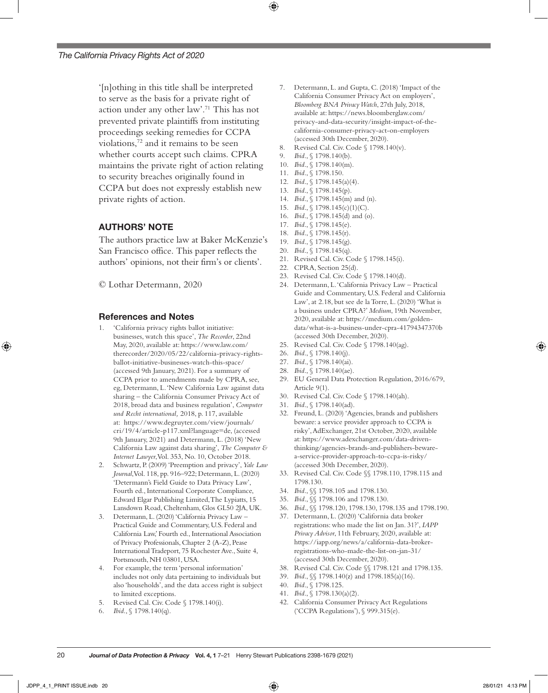'[n]othing in this title shall be interpreted to serve as the basis for a private right of action under any other law'.71 This has not prevented private plaintiffs from instituting proceedings seeking remedies for CCPA violations,72 and it remains to be seen whether courts accept such claims. CPRA maintains the private right of action relating to security breaches originally found in CCPA but does not expressly establish new private rights of action.

#### AUTHORS' NOTE

The authors practice law at Baker McKenzie's San Francisco office. This paper reflects the authors' opinions, not their firm's or clients'.

© Lothar Determann, 2020

#### References and Notes

- 1. 'California privacy rights ballot initiative: businesses, watch this space', *The Recorder*, 22nd May, 2020, available at: [https://www.law.com/](https://www.law.com/therecorder/2020/05/22/california-privacy-rights-ballot-initiative-businesses-watch-this-space/) [therecorder/2020/05/22/california-privacy-rights](https://www.law.com/therecorder/2020/05/22/california-privacy-rights-ballot-initiative-businesses-watch-this-space/)[ballot-initiative-businesses-watch-this-space/](https://www.law.com/therecorder/2020/05/22/california-privacy-rights-ballot-initiative-businesses-watch-this-space/) (accessed 9th January, 2021). For a summary of CCPA prior to amendments made by CPRA, see, eg, Determann, L. 'New California Law against data sharing – the California Consumer Privacy Act of 2018, broad data and business regulation', *Computer und Recht international,* 2018, p. 117, available at: [https://www.degruyter.com/view/journals/](https://www.degruyter.com/view/journals/cri/19/4/article-p117.xml?language=de) [cri/19/4/article-p117.xml?language=de](https://www.degruyter.com/view/journals/cri/19/4/article-p117.xml?language=de), (accessed 9th January, 2021) and Determann, L. (2018) 'New California Law against data sharing', *The Computer & Internet Lawyer*, Vol. 353, No. 10, October 2018.
- 2. Schwartz, P. (2009) 'Preemption and privacy', *Yale Law Journal*, Vol. 118, pp. 916–922; Determann, L. (2020) 'Determann's Field Guide to Data Privacy Law', Fourth ed., International Corporate Compliance, Edward Elgar Publishing Limited, The Lypiatts, 15 Lansdown Road, Cheltenham, Glos GL50 2JA, UK.
- Determann, L. (2020) 'California Privacy Law Practical Guide and Commentary, U.S. Federal and California Law,' Fourth ed., International Association of Privacy Professionals, Chapter 2 (A-Z), Pease International Tradeport, 75 Rochester Ave., Suite 4, Portsmouth, NH 03801, USA.
- 4. For example, the term 'personal information' includes not only data pertaining to individuals but also 'households', and the data access right is subject to limited exceptions.

*Journal of Data Protection & Privacy* Vol. 4, 1 7–21 Henry Stewart Publications 2398-1679 (2021)

- 5. Revised Cal. Civ. Code § 1798.140(i).
- 6. *Ibid*., § 1798.140(q).
- Determann, L. and Gupta, C. (2018) 'Impact of the California Consumer Privacy Act on employers', *Bloomberg BNA Privacy Watch*, 27th July, 2018, available at: [https://news.bloomberglaw.com/](https://news.bloomberglaw.com/privacy-and-data-security/insight-impact-of-the-california-consumer-privacy-act-on-employers) [privacy-and-data-security/insight-impact-of-the](https://news.bloomberglaw.com/privacy-and-data-security/insight-impact-of-the-california-consumer-privacy-act-on-employers)[california-consumer-privacy-act-on-employers](https://news.bloomberglaw.com/privacy-and-data-security/insight-impact-of-the-california-consumer-privacy-act-on-employers) (accessed 30th December, 2020).
- 8. Revised Cal. Civ. Code § 1798.140(v).
- 9. *Ibid*., § 1798.140(b).
- 10. *Ibid*., § 1798.140(m).

⊕

- 11. *Ibid*., § 1798.150.
- 12. *Ibid*., § 1798.145(a)(4).
- 13. *Ibid*., § 1798.145(p).
- 14. *Ibid*., § 1798.145(m) and (n).
- 15. *Ibid*., § 1798.145(c)(1)(C).
- 16. *Ibid*., § 1798.145(d) and (o). 17. *Ibid*., § 1798.145(e).
- 18. *Ibid*., § 1798.145(r).
- 
- 19. *Ibid*., § 1798.145(g).
- 20. *Ibid*., § 1798.145(q). 21. Revised Cal. Civ. Code § 1798.145(i).
- 22. CPRA, Section 25(d).
- 
- 23. Revised Cal. Civ. Code § 1798.140(d). 24. Determann, L. 'California Privacy Law – Practical
- Guide and Commentary, U.S. Federal and California Law', at 2.18, but see de la Torre, L. (2020) 'What is a business under CPRA?' *Medium*, 19th November, 2020, available at: [https://medium.com/golden](https://medium.com/golden-data/what-is-a-business-under-cpra-41794347370b)[data/what-is-a-business-under-cpra-41794347370b](https://medium.com/golden-data/what-is-a-business-under-cpra-41794347370b) (accessed 30th December, 2020).
- 25. Revised Cal. Civ. Code § 1798.140(ag).
- 26. *Ibid*., § 1798.140(j).
- 27. *Ibid*., § 1798.140(ai).
- 28. *Ibid*., § 1798.140(ae).
- 29. EU General Data Protection Regulation, 2016/679, Article 9(1).
- 30. Revised Cal. Civ. Code § 1798.140(ah).
- 31. *Ibid*., § 1798.140(ad).
- 32. Freund, L. (2020) 'Agencies, brands and publishers beware: a service provider approach to CCPA is risky', AdExchanger, 21st October, 2020, available at: [https://www.adexchanger.com/data-driven](https://www.adexchanger.com/data-driven-thinking/agencies-brands-and-publishers-beware-a-service-provider-approach-to-ccpa-is-risky/)[thinking/agencies-brands-and-publishers-beware](https://www.adexchanger.com/data-driven-thinking/agencies-brands-and-publishers-beware-a-service-provider-approach-to-ccpa-is-risky/)[a-service-provider-approach-to-ccpa-is-risky/](https://www.adexchanger.com/data-driven-thinking/agencies-brands-and-publishers-beware-a-service-provider-approach-to-ccpa-is-risky/) (accessed 30th December, 2020).
- 33. Revised Cal. Civ. Code §§ 1798.110, 1798.115 and 1798.130.
- 34. *Ibid*., §§ 1798.105 and 1798.130.
- 35. *Ibid*., §§ 1798.106 and 1798.130.
- 36. *Ibid*., §§ 1798.120, 1798.130, 1798.135 and 1798.190.
- 37. Determann, L. (2020) 'California data broker registrations: who made the list on Jan. 31?', *IAPP Privacy Advisor*, 11th February, 2020, available at: [https://iapp.org/news/a/california-data-broker](https://iapp.org/news/a/california-data-broker-registrations-who-made-the-list-on-jan-31/)[registrations-who-made-the-list-on-jan-31/](https://iapp.org/news/a/california-data-broker-registrations-who-made-the-list-on-jan-31/) (accessed 30th December, 2020).
- 38. Revised Cal. Civ. Code §§ 1798.121 and 1798.135.
- 39. *Ibid*., §§ 1798.140(z) and 1798.185(a)(16).
- 40. *Ibid*., § 1798.125.
- 41. *Ibid*., § 1798.130(a)(2).
- 42. California Consumer Privacy Act Regulations ('CCPA Regulations'), § 999.315(e).

20